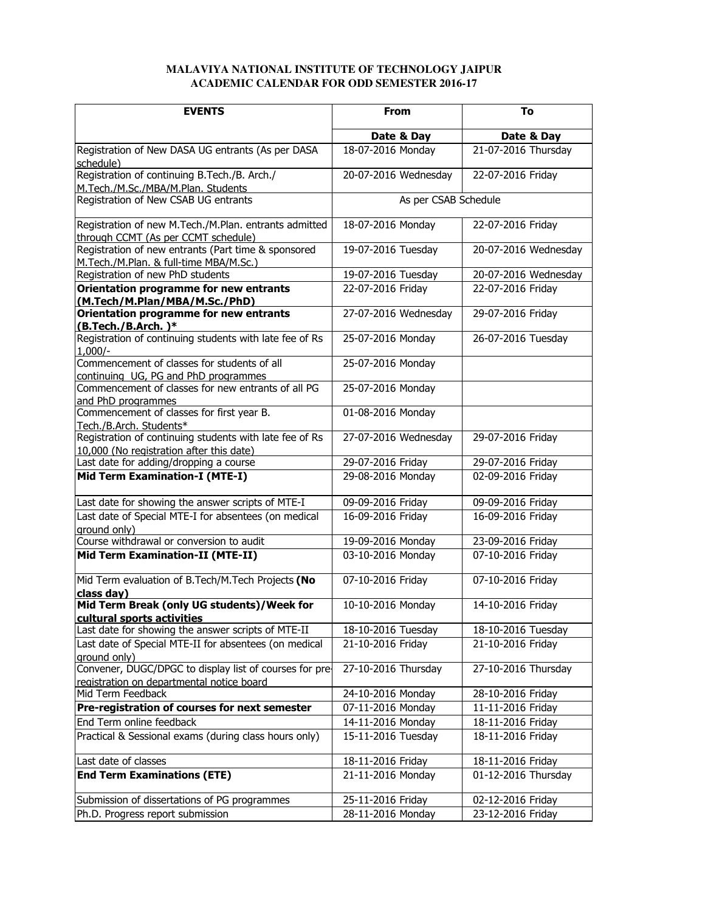## **MALAVIYA NATIONAL INSTITUTE OF TECHNOLOGY JAIPUR ACADEMIC CALENDAR FOR ODD SEMESTER 2016-17**

| <b>EVENTS</b>                                                                                        | <b>From</b>          | To                   |
|------------------------------------------------------------------------------------------------------|----------------------|----------------------|
|                                                                                                      | Date & Day           | Date & Day           |
| Registration of New DASA UG entrants (As per DASA<br>schedule)                                       | 18-07-2016 Monday    | 21-07-2016 Thursday  |
| Registration of continuing B.Tech./B. Arch./<br>M.Tech./M.Sc./MBA/M.Plan. Students                   | 20-07-2016 Wednesday | 22-07-2016 Friday    |
| Registration of New CSAB UG entrants                                                                 | As per CSAB Schedule |                      |
| Registration of new M.Tech./M.Plan. entrants admitted<br>through CCMT (As per CCMT schedule)         | 18-07-2016 Monday    | 22-07-2016 Friday    |
| Registration of new entrants (Part time & sponsored<br>M.Tech./M.Plan. & full-time MBA/M.Sc.)        | 19-07-2016 Tuesday   | 20-07-2016 Wednesday |
| Registration of new PhD students                                                                     | 19-07-2016 Tuesday   | 20-07-2016 Wednesday |
| Orientation programme for new entrants<br>(M.Tech/M.Plan/MBA/M.Sc./PhD)                              | 22-07-2016 Friday    | 22-07-2016 Friday    |
| Orientation programme for new entrants<br>(B.Tech./B.Arch.)*                                         | 27-07-2016 Wednesday | 29-07-2016 Friday    |
| Registration of continuing students with late fee of Rs<br>$1,000/-$                                 | 25-07-2016 Monday    | 26-07-2016 Tuesday   |
| Commencement of classes for students of all<br>continuing UG, PG and PhD programmes                  | 25-07-2016 Monday    |                      |
| Commencement of classes for new entrants of all PG<br>and PhD programmes                             | 25-07-2016 Monday    |                      |
| Commencement of classes for first year B.<br>Tech./B.Arch. Students*                                 | 01-08-2016 Monday    |                      |
| Registration of continuing students with late fee of Rs<br>10,000 (No registration after this date)  | 27-07-2016 Wednesday | 29-07-2016 Friday    |
| Last date for adding/dropping a course                                                               | 29-07-2016 Friday    | 29-07-2016 Friday    |
| Mid Term Examination-I (MTE-I)                                                                       | 29-08-2016 Monday    | 02-09-2016 Friday    |
| Last date for showing the answer scripts of MTE-I                                                    | 09-09-2016 Friday    | 09-09-2016 Friday    |
| Last date of Special MTE-I for absentees (on medical<br>ground only)                                 | 16-09-2016 Friday    | 16-09-2016 Friday    |
| Course withdrawal or conversion to audit                                                             | 19-09-2016 Monday    | 23-09-2016 Friday    |
| Mid Term Examination-II (MTE-II)                                                                     | 03-10-2016 Monday    | 07-10-2016 Friday    |
| Mid Term evaluation of B.Tech/M.Tech Projects (No<br>class day)                                      | 07-10-2016 Friday    | 07-10-2016 Friday    |
| Mid Term Break (only UG students)/Week for<br>cultural sports activities                             | 10-10-2016 Monday    | 14-10-2016 Friday    |
| Last date for showing the answer scripts of MTE-II                                                   | 18-10-2016 Tuesday   | 18-10-2016 Tuesday   |
| Last date of Special MTE-II for absentees (on medical<br>ground only)                                | 21-10-2016 Friday    | 21-10-2016 Friday    |
| Convener, DUGC/DPGC to display list of courses for pre-<br>registration on departmental notice board | 27-10-2016 Thursday  | 27-10-2016 Thursday  |
| Mid Term Feedback                                                                                    | 24-10-2016 Monday    | 28-10-2016 Friday    |
| Pre-registration of courses for next semester                                                        | 07-11-2016 Monday    | 11-11-2016 Friday    |
| End Term online feedback                                                                             | 14-11-2016 Monday    | 18-11-2016 Friday    |
| Practical & Sessional exams (during class hours only)                                                | 15-11-2016 Tuesday   | 18-11-2016 Friday    |
| Last date of classes                                                                                 | 18-11-2016 Friday    | 18-11-2016 Friday    |
| <b>End Term Examinations (ETE)</b>                                                                   | 21-11-2016 Monday    | 01-12-2016 Thursday  |
| Submission of dissertations of PG programmes                                                         | 25-11-2016 Friday    | 02-12-2016 Friday    |
| Ph.D. Progress report submission                                                                     | 28-11-2016 Monday    | 23-12-2016 Friday    |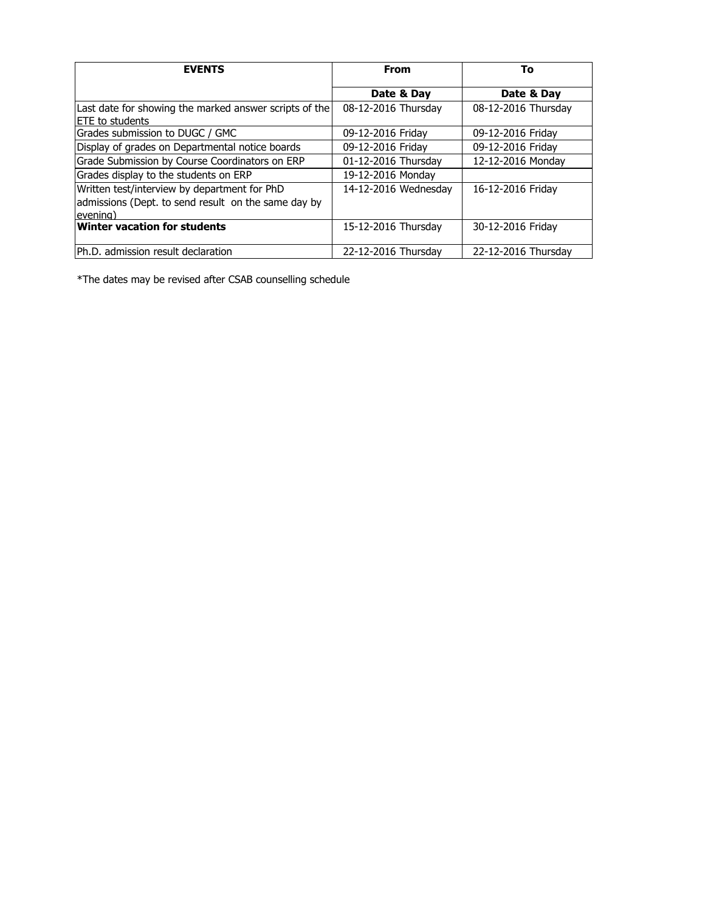| <b>EVENTS</b>                                                                                                    | <b>From</b>          | To                  |
|------------------------------------------------------------------------------------------------------------------|----------------------|---------------------|
|                                                                                                                  | Date & Day           | Date & Day          |
| Last date for showing the marked answer scripts of the<br>ETE to students                                        | 08-12-2016 Thursday  | 08-12-2016 Thursday |
| Grades submission to DUGC / GMC                                                                                  | 09-12-2016 Friday    | 09-12-2016 Friday   |
| Display of grades on Departmental notice boards                                                                  | 09-12-2016 Friday    | 09-12-2016 Friday   |
| Grade Submission by Course Coordinators on ERP                                                                   | 01-12-2016 Thursday  | 12-12-2016 Monday   |
| Grades display to the students on ERP                                                                            | 19-12-2016 Monday    |                     |
| Written test/interview by department for PhD<br>admissions (Dept. to send result on the same day by<br>levening) | 14-12-2016 Wednesday | 16-12-2016 Friday   |
| <b>Winter vacation for students</b>                                                                              | 15-12-2016 Thursday  | 30-12-2016 Friday   |
| Ph.D. admission result declaration                                                                               | 22-12-2016 Thursday  | 22-12-2016 Thursday |

\*The dates may be revised after CSAB counselling schedule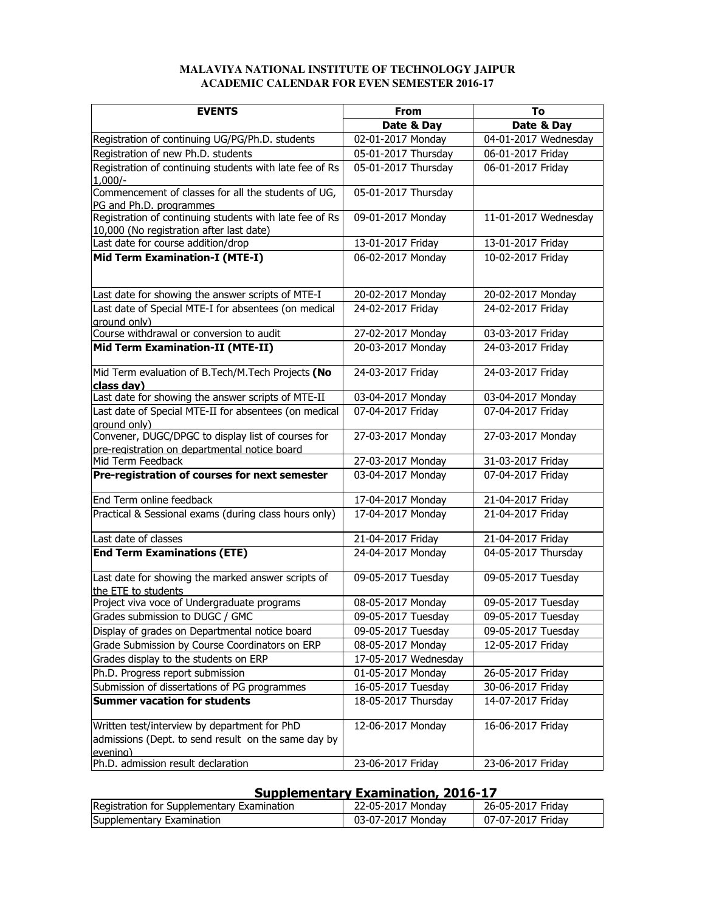## **MALAVIYA NATIONAL INSTITUTE OF TECHNOLOGY JAIPUR ACADEMIC CALENDAR FOR EVEN SEMESTER 2016-17**

| <b>EVENTS</b>                                                                                       | <b>From</b>          | To                   |
|-----------------------------------------------------------------------------------------------------|----------------------|----------------------|
|                                                                                                     | Date & Day           | Date & Day           |
| Registration of continuing UG/PG/Ph.D. students                                                     | 02-01-2017 Monday    | 04-01-2017 Wednesday |
| Registration of new Ph.D. students                                                                  | 05-01-2017 Thursday  | 06-01-2017 Friday    |
| Registration of continuing students with late fee of Rs                                             | 05-01-2017 Thursday  | 06-01-2017 Friday    |
| $1.000/-$                                                                                           |                      |                      |
| Commencement of classes for all the students of UG,                                                 | 05-01-2017 Thursday  |                      |
| PG and Ph.D. programmes                                                                             |                      |                      |
| Registration of continuing students with late fee of Rs<br>10,000 (No registration after last date) | 09-01-2017 Monday    | 11-01-2017 Wednesday |
| Last date for course addition/drop                                                                  | 13-01-2017 Friday    | 13-01-2017 Friday    |
| Mid Term Examination-I (MTE-I)                                                                      | 06-02-2017 Monday    | 10-02-2017 Friday    |
|                                                                                                     |                      |                      |
| Last date for showing the answer scripts of MTE-I                                                   | 20-02-2017 Monday    | 20-02-2017 Monday    |
| Last date of Special MTE-I for absentees (on medical                                                | 24-02-2017 Friday    | 24-02-2017 Friday    |
| ground only)                                                                                        |                      |                      |
| Course withdrawal or conversion to audit                                                            | 27-02-2017 Monday    | 03-03-2017 Friday    |
| Mid Term Examination-II (MTE-II)                                                                    | 20-03-2017 Monday    | 24-03-2017 Friday    |
| Mid Term evaluation of B.Tech/M.Tech Projects (No                                                   | 24-03-2017 Friday    | 24-03-2017 Friday    |
| class day)<br>Last date for showing the answer scripts of MTE-II                                    |                      |                      |
|                                                                                                     | 03-04-2017 Monday    | 03-04-2017 Monday    |
| Last date of Special MTE-II for absentees (on medical<br>ground only)                               | 07-04-2017 Friday    | 07-04-2017 Friday    |
| Convener, DUGC/DPGC to display list of courses for                                                  | 27-03-2017 Monday    | 27-03-2017 Monday    |
| pre-registration on departmental notice board                                                       |                      |                      |
| Mid Term Feedback                                                                                   | 27-03-2017 Monday    | 31-03-2017 Friday    |
| Pre-registration of courses for next semester                                                       | 03-04-2017 Monday    | 07-04-2017 Friday    |
| End Term online feedback                                                                            | 17-04-2017 Monday    | 21-04-2017 Friday    |
| Practical & Sessional exams (during class hours only)                                               | 17-04-2017 Monday    | 21-04-2017 Friday    |
| Last date of classes                                                                                | 21-04-2017 Friday    | 21-04-2017 Friday    |
| <b>End Term Examinations (ETE)</b>                                                                  | 24-04-2017 Monday    | 04-05-2017 Thursday  |
|                                                                                                     |                      |                      |
| Last date for showing the marked answer scripts of                                                  | 09-05-2017 Tuesday   | 09-05-2017 Tuesday   |
| lthe ETE to students                                                                                |                      |                      |
| Project viva voce of Undergraduate programs                                                         | 08-05-2017 Monday    | 09-05-2017 Tuesday   |
| Grades submission to DUGC / GMC                                                                     | 09-05-2017 Tuesday   | 09-05-2017 Tuesday   |
| Display of grades on Departmental notice board                                                      | 09-05-2017 Tuesday   | 09-05-2017 Tuesday   |
| Grade Submission by Course Coordinators on ERP                                                      | 08-05-2017 Monday    | 12-05-2017 Friday    |
| Grades display to the students on ERP                                                               | 17-05-2017 Wednesday |                      |
| Ph.D. Progress report submission                                                                    | 01-05-2017 Monday    | 26-05-2017 Friday    |
| Submission of dissertations of PG programmes                                                        | 16-05-2017 Tuesday   | 30-06-2017 Friday    |
| <b>Summer vacation for students</b>                                                                 | 18-05-2017 Thursday  | 14-07-2017 Friday    |
| Written test/interview by department for PhD                                                        | 12-06-2017 Monday    | 16-06-2017 Friday    |
| admissions (Dept. to send result on the same day by                                                 |                      |                      |
| evening)                                                                                            |                      |                      |
| Ph.D. admission result declaration                                                                  | 23-06-2017 Friday    | 23-06-2017 Friday    |

## **Supplementary Examination, 2016-17**

| Registration for Supplementary Examination | 22-05-2017 Mondav | 26-05-2017 Fridav |
|--------------------------------------------|-------------------|-------------------|
| Supplementary Examination                  | 03-07-2017 Monday | 07-07-2017 Friday |